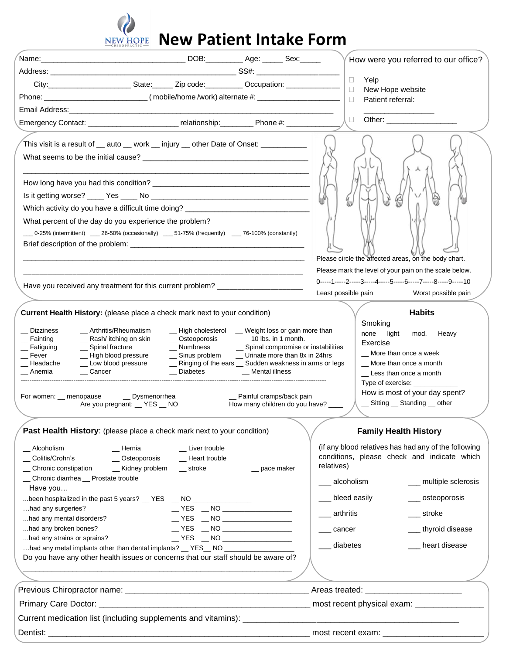

## **NEW HOPE** New Patient Intake Form

| $\Box$<br>Yelp<br>City:__________________________State:_______Zip code:__________Occupation: _____________<br>$\Box$<br>New Hope website<br>$\Box$<br>Patient referral:<br>Other: and the control of the control of the control of the control of the control of the control of the control of the control of the control of the control of the control of the control of the control of the control of t<br>$\Box$<br>This visit is a result of __ auto __ work __ injury __ other Date of Onset: __________<br>4)<br>Ulb<br>Which activity do you have a difficult time doing? _____________________________<br>What percent of the day do you experience the problem?<br>$-$ 0-25% (intermittent) $-$ 26-50% (occasionally) $-$ 51-75% (frequently) $-$ 76-100% (constantly)<br>Please circle the affected areas, on the body chart.<br>Please mark the level of your pain on the scale below.<br>0-----1-----2-----3-----4-----5-----6-----7-----8-----9-----10<br>Have you received any treatment for this current problem?<br>Least possible pain<br>Worst possible pain<br><b>Habits</b><br>Current Health History: (please place a check mark next to your condition)<br>Smoking<br>- High cholesterol - Weight loss or gain more than<br>Dizziness<br>__ Arthritis/Rheumatism<br>none<br>light<br>mod. Heavy<br>_ Rash/ itching on skin<br>└── Osteoporosis 10 lbs. in 1 month.<br>△── Numbness △── Spinal compromise or instabilities<br>Fainting<br>Exercise<br>_ Spinal fracture<br>Fatiguing<br>_ More than once a week<br>_ Sinus problem _ _ Urinate more than 8x in 24hrs<br>Fever<br>- High blood pressure<br>_ Low blood pressure<br>_ Ringing of the ears _ Sudden weakness in arms or legs<br>_ More than once a month<br>_ Headache<br>$\_\_$ Cancer<br>_ Diabetes<br>Anemia<br>_ Mental illness<br>Less than once a month<br>Type of exercise:<br>How is most of your day spent?<br>For women: __ menopause<br>__ Dysmenorrhea<br>Painful cramps/back pain<br>_ Sitting _ Standing _ other<br>Are you pregnant: _ YES _ NO<br>How many children do you have? ____<br><b>Family Health History</b><br>Past Health History: (please place a check mark next to your condition)<br>(if any blood relatives has had any of the following<br>_ Alcoholism<br>_ Liver trouble<br>__ Hernia<br>conditions, please check and indicate which<br>Colitis/Crohn's<br>- Heart trouble<br>__ Osteoporosis<br>relatives)<br>_ Chronic constipation<br>_ Kidney problem<br>$\equiv$ stroke<br>_ pace maker<br>_ Chronic diarrhea _ Prostate trouble<br>___ alcoholism<br>___ multiple sclerosis<br>Have you<br>__ bleed easily<br>____ osteoporosis<br>been hospitalized in the past 5 years? $\_\$ YES $\_\$ NO $\_\_\_\_\$<br>had any surgeries?<br>arthritis<br>____ stroke<br>$\sqrt{YES}$ $\sqrt{NO}$ $\sqrt{NO}$ $\sqrt{O}$ $\sqrt{O}$ $\sqrt{O}$ $\sqrt{O}$ $\sqrt{O}$ $\sqrt{O}$ $\sqrt{O}$ $\sqrt{O}$ $\sqrt{O}$ $\sqrt{O}$ $\sqrt{O}$ $\sqrt{O}$ $\sqrt{O}$ $\sqrt{O}$ $\sqrt{O}$ $\sqrt{O}$ $\sqrt{O}$ $\sqrt{O}$ $\sqrt{O}$ $\sqrt{O}$ $\sqrt{O}$ $\sqrt{O}$ $\sqrt{O}$ $\sqrt{O}$ $\sqrt{$<br>had any mental disorders?<br>had any broken bones?<br>$\sqrt{YES}$ $\sqrt{NO}$ $\sqrt{CO}$ $\sqrt{CO}$ $\sqrt{CO}$ $\sqrt{CO}$ $\sqrt{CO}$ $\sqrt{CO}$ $\sqrt{CO}$ $\sqrt{CO}$ $\sqrt{CO}$ $\sqrt{CO}$ $\sqrt{CO}$ $\sqrt{CO}$ $\sqrt{CO}$ $\sqrt{CO}$ $\sqrt{CO}$ $\sqrt{CO}$ $\sqrt{CO}$ $\sqrt{CO}$ $\sqrt{CO}$ $\sqrt{CO}$ $\sqrt{CO}$ $\sqrt{CO}$ $\sqrt{CO}$ $\sqrt{CO}$ $\sqrt{CO}$ $\sqrt{$<br>__ thyroid disease<br>___ cancer<br>had any strains or sprains?<br>$\sqrt{YES}$ $\sqrt{NO}$ $\sqrt{CO}$ $\sqrt{CO}$ $\sqrt{CO}$ $\sqrt{CO}$ $\sqrt{CO}$ $\sqrt{CO}$ $\sqrt{CO}$ $\sqrt{CO}$ $\sqrt{CO}$ $\sqrt{CO}$ $\sqrt{CO}$ $\sqrt{CO}$ $\sqrt{CO}$ $\sqrt{CO}$ $\sqrt{CO}$ $\sqrt{CO}$ $\sqrt{CO}$ $\sqrt{CO}$ $\sqrt{CO}$ $\sqrt{CO}$ $\sqrt{CO}$ $\sqrt{CO}$ $\sqrt{CO}$ $\sqrt{CO}$ $\sqrt{CO}$ $\sqrt{$<br>___ diabetes<br>__ heart disease<br>had any metal implants other than dental implants? $\_\$ YES $\_\$ NO $\_\_\_\_\_\_\_\_$<br>Do you have any other health issues or concerns that our staff should be aware of? |  |  |  |  | How were you referred to our office? |
|-----------------------------------------------------------------------------------------------------------------------------------------------------------------------------------------------------------------------------------------------------------------------------------------------------------------------------------------------------------------------------------------------------------------------------------------------------------------------------------------------------------------------------------------------------------------------------------------------------------------------------------------------------------------------------------------------------------------------------------------------------------------------------------------------------------------------------------------------------------------------------------------------------------------------------------------------------------------------------------------------------------------------------------------------------------------------------------------------------------------------------------------------------------------------------------------------------------------------------------------------------------------------------------------------------------------------------------------------------------------------------------------------------------------------------------------------------------------------------------------------------------------------------------------------------------------------------------------------------------------------------------------------------------------------------------------------------------------------------------------------------------------------------------------------------------------------------------------------------------------------------------------------------------------------------------------------------------------------------------------------------------------------------------------------------------------------------------------------------------------------------------------------------------------------------------------------------------------------------------------------------------------------------------------------------------------------------------------------------------------------------------------------------------------------------------------------------------------------------------------------------------------------------------------------------------------------------------------------------------------------------------------------------------------------------------------------------------------------------------------------------------------------------------------------------------------------------------------------------------------------------------------------------------------------------------------------------------------------------------------------------------------------------------------------------------------------------------------------------------------------------------------------------------------------------------------------------------------------------------------------------------------------------------------------------------------------------------------------------------------------------------------------------------------------------------------------------------------------------------------------------------------------------------------------------------------------------------------------------------------------------------------------------------------------------------------------------------------------------------------------------------------------------------------------------------------------------------------------------------------------------------------------------------------------------------------------------------------------------------------------------------------------------------------------------------------------------------------------------------------------------------------------------------------|--|--|--|--|--------------------------------------|
|                                                                                                                                                                                                                                                                                                                                                                                                                                                                                                                                                                                                                                                                                                                                                                                                                                                                                                                                                                                                                                                                                                                                                                                                                                                                                                                                                                                                                                                                                                                                                                                                                                                                                                                                                                                                                                                                                                                                                                                                                                                                                                                                                                                                                                                                                                                                                                                                                                                                                                                                                                                                                                                                                                                                                                                                                                                                                                                                                                                                                                                                                                                                                                                                                                                                                                                                                                                                                                                                                                                                                                                                                                                                                                                                                                                                                                                                                                                                                                                                                                                                                                                                                                 |  |  |  |  |                                      |
|                                                                                                                                                                                                                                                                                                                                                                                                                                                                                                                                                                                                                                                                                                                                                                                                                                                                                                                                                                                                                                                                                                                                                                                                                                                                                                                                                                                                                                                                                                                                                                                                                                                                                                                                                                                                                                                                                                                                                                                                                                                                                                                                                                                                                                                                                                                                                                                                                                                                                                                                                                                                                                                                                                                                                                                                                                                                                                                                                                                                                                                                                                                                                                                                                                                                                                                                                                                                                                                                                                                                                                                                                                                                                                                                                                                                                                                                                                                                                                                                                                                                                                                                                                 |  |  |  |  |                                      |
|                                                                                                                                                                                                                                                                                                                                                                                                                                                                                                                                                                                                                                                                                                                                                                                                                                                                                                                                                                                                                                                                                                                                                                                                                                                                                                                                                                                                                                                                                                                                                                                                                                                                                                                                                                                                                                                                                                                                                                                                                                                                                                                                                                                                                                                                                                                                                                                                                                                                                                                                                                                                                                                                                                                                                                                                                                                                                                                                                                                                                                                                                                                                                                                                                                                                                                                                                                                                                                                                                                                                                                                                                                                                                                                                                                                                                                                                                                                                                                                                                                                                                                                                                                 |  |  |  |  |                                      |
|                                                                                                                                                                                                                                                                                                                                                                                                                                                                                                                                                                                                                                                                                                                                                                                                                                                                                                                                                                                                                                                                                                                                                                                                                                                                                                                                                                                                                                                                                                                                                                                                                                                                                                                                                                                                                                                                                                                                                                                                                                                                                                                                                                                                                                                                                                                                                                                                                                                                                                                                                                                                                                                                                                                                                                                                                                                                                                                                                                                                                                                                                                                                                                                                                                                                                                                                                                                                                                                                                                                                                                                                                                                                                                                                                                                                                                                                                                                                                                                                                                                                                                                                                                 |  |  |  |  |                                      |
|                                                                                                                                                                                                                                                                                                                                                                                                                                                                                                                                                                                                                                                                                                                                                                                                                                                                                                                                                                                                                                                                                                                                                                                                                                                                                                                                                                                                                                                                                                                                                                                                                                                                                                                                                                                                                                                                                                                                                                                                                                                                                                                                                                                                                                                                                                                                                                                                                                                                                                                                                                                                                                                                                                                                                                                                                                                                                                                                                                                                                                                                                                                                                                                                                                                                                                                                                                                                                                                                                                                                                                                                                                                                                                                                                                                                                                                                                                                                                                                                                                                                                                                                                                 |  |  |  |  |                                      |
|                                                                                                                                                                                                                                                                                                                                                                                                                                                                                                                                                                                                                                                                                                                                                                                                                                                                                                                                                                                                                                                                                                                                                                                                                                                                                                                                                                                                                                                                                                                                                                                                                                                                                                                                                                                                                                                                                                                                                                                                                                                                                                                                                                                                                                                                                                                                                                                                                                                                                                                                                                                                                                                                                                                                                                                                                                                                                                                                                                                                                                                                                                                                                                                                                                                                                                                                                                                                                                                                                                                                                                                                                                                                                                                                                                                                                                                                                                                                                                                                                                                                                                                                                                 |  |  |  |  |                                      |
|                                                                                                                                                                                                                                                                                                                                                                                                                                                                                                                                                                                                                                                                                                                                                                                                                                                                                                                                                                                                                                                                                                                                                                                                                                                                                                                                                                                                                                                                                                                                                                                                                                                                                                                                                                                                                                                                                                                                                                                                                                                                                                                                                                                                                                                                                                                                                                                                                                                                                                                                                                                                                                                                                                                                                                                                                                                                                                                                                                                                                                                                                                                                                                                                                                                                                                                                                                                                                                                                                                                                                                                                                                                                                                                                                                                                                                                                                                                                                                                                                                                                                                                                                                 |  |  |  |  |                                      |
|                                                                                                                                                                                                                                                                                                                                                                                                                                                                                                                                                                                                                                                                                                                                                                                                                                                                                                                                                                                                                                                                                                                                                                                                                                                                                                                                                                                                                                                                                                                                                                                                                                                                                                                                                                                                                                                                                                                                                                                                                                                                                                                                                                                                                                                                                                                                                                                                                                                                                                                                                                                                                                                                                                                                                                                                                                                                                                                                                                                                                                                                                                                                                                                                                                                                                                                                                                                                                                                                                                                                                                                                                                                                                                                                                                                                                                                                                                                                                                                                                                                                                                                                                                 |  |  |  |  |                                      |
|                                                                                                                                                                                                                                                                                                                                                                                                                                                                                                                                                                                                                                                                                                                                                                                                                                                                                                                                                                                                                                                                                                                                                                                                                                                                                                                                                                                                                                                                                                                                                                                                                                                                                                                                                                                                                                                                                                                                                                                                                                                                                                                                                                                                                                                                                                                                                                                                                                                                                                                                                                                                                                                                                                                                                                                                                                                                                                                                                                                                                                                                                                                                                                                                                                                                                                                                                                                                                                                                                                                                                                                                                                                                                                                                                                                                                                                                                                                                                                                                                                                                                                                                                                 |  |  |  |  |                                      |
|                                                                                                                                                                                                                                                                                                                                                                                                                                                                                                                                                                                                                                                                                                                                                                                                                                                                                                                                                                                                                                                                                                                                                                                                                                                                                                                                                                                                                                                                                                                                                                                                                                                                                                                                                                                                                                                                                                                                                                                                                                                                                                                                                                                                                                                                                                                                                                                                                                                                                                                                                                                                                                                                                                                                                                                                                                                                                                                                                                                                                                                                                                                                                                                                                                                                                                                                                                                                                                                                                                                                                                                                                                                                                                                                                                                                                                                                                                                                                                                                                                                                                                                                                                 |  |  |  |  |                                      |
|                                                                                                                                                                                                                                                                                                                                                                                                                                                                                                                                                                                                                                                                                                                                                                                                                                                                                                                                                                                                                                                                                                                                                                                                                                                                                                                                                                                                                                                                                                                                                                                                                                                                                                                                                                                                                                                                                                                                                                                                                                                                                                                                                                                                                                                                                                                                                                                                                                                                                                                                                                                                                                                                                                                                                                                                                                                                                                                                                                                                                                                                                                                                                                                                                                                                                                                                                                                                                                                                                                                                                                                                                                                                                                                                                                                                                                                                                                                                                                                                                                                                                                                                                                 |  |  |  |  |                                      |
|                                                                                                                                                                                                                                                                                                                                                                                                                                                                                                                                                                                                                                                                                                                                                                                                                                                                                                                                                                                                                                                                                                                                                                                                                                                                                                                                                                                                                                                                                                                                                                                                                                                                                                                                                                                                                                                                                                                                                                                                                                                                                                                                                                                                                                                                                                                                                                                                                                                                                                                                                                                                                                                                                                                                                                                                                                                                                                                                                                                                                                                                                                                                                                                                                                                                                                                                                                                                                                                                                                                                                                                                                                                                                                                                                                                                                                                                                                                                                                                                                                                                                                                                                                 |  |  |  |  |                                      |
|                                                                                                                                                                                                                                                                                                                                                                                                                                                                                                                                                                                                                                                                                                                                                                                                                                                                                                                                                                                                                                                                                                                                                                                                                                                                                                                                                                                                                                                                                                                                                                                                                                                                                                                                                                                                                                                                                                                                                                                                                                                                                                                                                                                                                                                                                                                                                                                                                                                                                                                                                                                                                                                                                                                                                                                                                                                                                                                                                                                                                                                                                                                                                                                                                                                                                                                                                                                                                                                                                                                                                                                                                                                                                                                                                                                                                                                                                                                                                                                                                                                                                                                                                                 |  |  |  |  |                                      |
|                                                                                                                                                                                                                                                                                                                                                                                                                                                                                                                                                                                                                                                                                                                                                                                                                                                                                                                                                                                                                                                                                                                                                                                                                                                                                                                                                                                                                                                                                                                                                                                                                                                                                                                                                                                                                                                                                                                                                                                                                                                                                                                                                                                                                                                                                                                                                                                                                                                                                                                                                                                                                                                                                                                                                                                                                                                                                                                                                                                                                                                                                                                                                                                                                                                                                                                                                                                                                                                                                                                                                                                                                                                                                                                                                                                                                                                                                                                                                                                                                                                                                                                                                                 |  |  |  |  |                                      |
|                                                                                                                                                                                                                                                                                                                                                                                                                                                                                                                                                                                                                                                                                                                                                                                                                                                                                                                                                                                                                                                                                                                                                                                                                                                                                                                                                                                                                                                                                                                                                                                                                                                                                                                                                                                                                                                                                                                                                                                                                                                                                                                                                                                                                                                                                                                                                                                                                                                                                                                                                                                                                                                                                                                                                                                                                                                                                                                                                                                                                                                                                                                                                                                                                                                                                                                                                                                                                                                                                                                                                                                                                                                                                                                                                                                                                                                                                                                                                                                                                                                                                                                                                                 |  |  |  |  |                                      |
|                                                                                                                                                                                                                                                                                                                                                                                                                                                                                                                                                                                                                                                                                                                                                                                                                                                                                                                                                                                                                                                                                                                                                                                                                                                                                                                                                                                                                                                                                                                                                                                                                                                                                                                                                                                                                                                                                                                                                                                                                                                                                                                                                                                                                                                                                                                                                                                                                                                                                                                                                                                                                                                                                                                                                                                                                                                                                                                                                                                                                                                                                                                                                                                                                                                                                                                                                                                                                                                                                                                                                                                                                                                                                                                                                                                                                                                                                                                                                                                                                                                                                                                                                                 |  |  |  |  |                                      |
|                                                                                                                                                                                                                                                                                                                                                                                                                                                                                                                                                                                                                                                                                                                                                                                                                                                                                                                                                                                                                                                                                                                                                                                                                                                                                                                                                                                                                                                                                                                                                                                                                                                                                                                                                                                                                                                                                                                                                                                                                                                                                                                                                                                                                                                                                                                                                                                                                                                                                                                                                                                                                                                                                                                                                                                                                                                                                                                                                                                                                                                                                                                                                                                                                                                                                                                                                                                                                                                                                                                                                                                                                                                                                                                                                                                                                                                                                                                                                                                                                                                                                                                                                                 |  |  |  |  |                                      |
|                                                                                                                                                                                                                                                                                                                                                                                                                                                                                                                                                                                                                                                                                                                                                                                                                                                                                                                                                                                                                                                                                                                                                                                                                                                                                                                                                                                                                                                                                                                                                                                                                                                                                                                                                                                                                                                                                                                                                                                                                                                                                                                                                                                                                                                                                                                                                                                                                                                                                                                                                                                                                                                                                                                                                                                                                                                                                                                                                                                                                                                                                                                                                                                                                                                                                                                                                                                                                                                                                                                                                                                                                                                                                                                                                                                                                                                                                                                                                                                                                                                                                                                                                                 |  |  |  |  |                                      |
|                                                                                                                                                                                                                                                                                                                                                                                                                                                                                                                                                                                                                                                                                                                                                                                                                                                                                                                                                                                                                                                                                                                                                                                                                                                                                                                                                                                                                                                                                                                                                                                                                                                                                                                                                                                                                                                                                                                                                                                                                                                                                                                                                                                                                                                                                                                                                                                                                                                                                                                                                                                                                                                                                                                                                                                                                                                                                                                                                                                                                                                                                                                                                                                                                                                                                                                                                                                                                                                                                                                                                                                                                                                                                                                                                                                                                                                                                                                                                                                                                                                                                                                                                                 |  |  |  |  |                                      |
|                                                                                                                                                                                                                                                                                                                                                                                                                                                                                                                                                                                                                                                                                                                                                                                                                                                                                                                                                                                                                                                                                                                                                                                                                                                                                                                                                                                                                                                                                                                                                                                                                                                                                                                                                                                                                                                                                                                                                                                                                                                                                                                                                                                                                                                                                                                                                                                                                                                                                                                                                                                                                                                                                                                                                                                                                                                                                                                                                                                                                                                                                                                                                                                                                                                                                                                                                                                                                                                                                                                                                                                                                                                                                                                                                                                                                                                                                                                                                                                                                                                                                                                                                                 |  |  |  |  |                                      |
|                                                                                                                                                                                                                                                                                                                                                                                                                                                                                                                                                                                                                                                                                                                                                                                                                                                                                                                                                                                                                                                                                                                                                                                                                                                                                                                                                                                                                                                                                                                                                                                                                                                                                                                                                                                                                                                                                                                                                                                                                                                                                                                                                                                                                                                                                                                                                                                                                                                                                                                                                                                                                                                                                                                                                                                                                                                                                                                                                                                                                                                                                                                                                                                                                                                                                                                                                                                                                                                                                                                                                                                                                                                                                                                                                                                                                                                                                                                                                                                                                                                                                                                                                                 |  |  |  |  |                                      |
|                                                                                                                                                                                                                                                                                                                                                                                                                                                                                                                                                                                                                                                                                                                                                                                                                                                                                                                                                                                                                                                                                                                                                                                                                                                                                                                                                                                                                                                                                                                                                                                                                                                                                                                                                                                                                                                                                                                                                                                                                                                                                                                                                                                                                                                                                                                                                                                                                                                                                                                                                                                                                                                                                                                                                                                                                                                                                                                                                                                                                                                                                                                                                                                                                                                                                                                                                                                                                                                                                                                                                                                                                                                                                                                                                                                                                                                                                                                                                                                                                                                                                                                                                                 |  |  |  |  |                                      |
|                                                                                                                                                                                                                                                                                                                                                                                                                                                                                                                                                                                                                                                                                                                                                                                                                                                                                                                                                                                                                                                                                                                                                                                                                                                                                                                                                                                                                                                                                                                                                                                                                                                                                                                                                                                                                                                                                                                                                                                                                                                                                                                                                                                                                                                                                                                                                                                                                                                                                                                                                                                                                                                                                                                                                                                                                                                                                                                                                                                                                                                                                                                                                                                                                                                                                                                                                                                                                                                                                                                                                                                                                                                                                                                                                                                                                                                                                                                                                                                                                                                                                                                                                                 |  |  |  |  |                                      |
|                                                                                                                                                                                                                                                                                                                                                                                                                                                                                                                                                                                                                                                                                                                                                                                                                                                                                                                                                                                                                                                                                                                                                                                                                                                                                                                                                                                                                                                                                                                                                                                                                                                                                                                                                                                                                                                                                                                                                                                                                                                                                                                                                                                                                                                                                                                                                                                                                                                                                                                                                                                                                                                                                                                                                                                                                                                                                                                                                                                                                                                                                                                                                                                                                                                                                                                                                                                                                                                                                                                                                                                                                                                                                                                                                                                                                                                                                                                                                                                                                                                                                                                                                                 |  |  |  |  |                                      |
|                                                                                                                                                                                                                                                                                                                                                                                                                                                                                                                                                                                                                                                                                                                                                                                                                                                                                                                                                                                                                                                                                                                                                                                                                                                                                                                                                                                                                                                                                                                                                                                                                                                                                                                                                                                                                                                                                                                                                                                                                                                                                                                                                                                                                                                                                                                                                                                                                                                                                                                                                                                                                                                                                                                                                                                                                                                                                                                                                                                                                                                                                                                                                                                                                                                                                                                                                                                                                                                                                                                                                                                                                                                                                                                                                                                                                                                                                                                                                                                                                                                                                                                                                                 |  |  |  |  |                                      |
|                                                                                                                                                                                                                                                                                                                                                                                                                                                                                                                                                                                                                                                                                                                                                                                                                                                                                                                                                                                                                                                                                                                                                                                                                                                                                                                                                                                                                                                                                                                                                                                                                                                                                                                                                                                                                                                                                                                                                                                                                                                                                                                                                                                                                                                                                                                                                                                                                                                                                                                                                                                                                                                                                                                                                                                                                                                                                                                                                                                                                                                                                                                                                                                                                                                                                                                                                                                                                                                                                                                                                                                                                                                                                                                                                                                                                                                                                                                                                                                                                                                                                                                                                                 |  |  |  |  |                                      |
|                                                                                                                                                                                                                                                                                                                                                                                                                                                                                                                                                                                                                                                                                                                                                                                                                                                                                                                                                                                                                                                                                                                                                                                                                                                                                                                                                                                                                                                                                                                                                                                                                                                                                                                                                                                                                                                                                                                                                                                                                                                                                                                                                                                                                                                                                                                                                                                                                                                                                                                                                                                                                                                                                                                                                                                                                                                                                                                                                                                                                                                                                                                                                                                                                                                                                                                                                                                                                                                                                                                                                                                                                                                                                                                                                                                                                                                                                                                                                                                                                                                                                                                                                                 |  |  |  |  |                                      |
|                                                                                                                                                                                                                                                                                                                                                                                                                                                                                                                                                                                                                                                                                                                                                                                                                                                                                                                                                                                                                                                                                                                                                                                                                                                                                                                                                                                                                                                                                                                                                                                                                                                                                                                                                                                                                                                                                                                                                                                                                                                                                                                                                                                                                                                                                                                                                                                                                                                                                                                                                                                                                                                                                                                                                                                                                                                                                                                                                                                                                                                                                                                                                                                                                                                                                                                                                                                                                                                                                                                                                                                                                                                                                                                                                                                                                                                                                                                                                                                                                                                                                                                                                                 |  |  |  |  |                                      |
|                                                                                                                                                                                                                                                                                                                                                                                                                                                                                                                                                                                                                                                                                                                                                                                                                                                                                                                                                                                                                                                                                                                                                                                                                                                                                                                                                                                                                                                                                                                                                                                                                                                                                                                                                                                                                                                                                                                                                                                                                                                                                                                                                                                                                                                                                                                                                                                                                                                                                                                                                                                                                                                                                                                                                                                                                                                                                                                                                                                                                                                                                                                                                                                                                                                                                                                                                                                                                                                                                                                                                                                                                                                                                                                                                                                                                                                                                                                                                                                                                                                                                                                                                                 |  |  |  |  |                                      |
|                                                                                                                                                                                                                                                                                                                                                                                                                                                                                                                                                                                                                                                                                                                                                                                                                                                                                                                                                                                                                                                                                                                                                                                                                                                                                                                                                                                                                                                                                                                                                                                                                                                                                                                                                                                                                                                                                                                                                                                                                                                                                                                                                                                                                                                                                                                                                                                                                                                                                                                                                                                                                                                                                                                                                                                                                                                                                                                                                                                                                                                                                                                                                                                                                                                                                                                                                                                                                                                                                                                                                                                                                                                                                                                                                                                                                                                                                                                                                                                                                                                                                                                                                                 |  |  |  |  |                                      |
|                                                                                                                                                                                                                                                                                                                                                                                                                                                                                                                                                                                                                                                                                                                                                                                                                                                                                                                                                                                                                                                                                                                                                                                                                                                                                                                                                                                                                                                                                                                                                                                                                                                                                                                                                                                                                                                                                                                                                                                                                                                                                                                                                                                                                                                                                                                                                                                                                                                                                                                                                                                                                                                                                                                                                                                                                                                                                                                                                                                                                                                                                                                                                                                                                                                                                                                                                                                                                                                                                                                                                                                                                                                                                                                                                                                                                                                                                                                                                                                                                                                                                                                                                                 |  |  |  |  |                                      |
|                                                                                                                                                                                                                                                                                                                                                                                                                                                                                                                                                                                                                                                                                                                                                                                                                                                                                                                                                                                                                                                                                                                                                                                                                                                                                                                                                                                                                                                                                                                                                                                                                                                                                                                                                                                                                                                                                                                                                                                                                                                                                                                                                                                                                                                                                                                                                                                                                                                                                                                                                                                                                                                                                                                                                                                                                                                                                                                                                                                                                                                                                                                                                                                                                                                                                                                                                                                                                                                                                                                                                                                                                                                                                                                                                                                                                                                                                                                                                                                                                                                                                                                                                                 |  |  |  |  |                                      |
|                                                                                                                                                                                                                                                                                                                                                                                                                                                                                                                                                                                                                                                                                                                                                                                                                                                                                                                                                                                                                                                                                                                                                                                                                                                                                                                                                                                                                                                                                                                                                                                                                                                                                                                                                                                                                                                                                                                                                                                                                                                                                                                                                                                                                                                                                                                                                                                                                                                                                                                                                                                                                                                                                                                                                                                                                                                                                                                                                                                                                                                                                                                                                                                                                                                                                                                                                                                                                                                                                                                                                                                                                                                                                                                                                                                                                                                                                                                                                                                                                                                                                                                                                                 |  |  |  |  |                                      |
|                                                                                                                                                                                                                                                                                                                                                                                                                                                                                                                                                                                                                                                                                                                                                                                                                                                                                                                                                                                                                                                                                                                                                                                                                                                                                                                                                                                                                                                                                                                                                                                                                                                                                                                                                                                                                                                                                                                                                                                                                                                                                                                                                                                                                                                                                                                                                                                                                                                                                                                                                                                                                                                                                                                                                                                                                                                                                                                                                                                                                                                                                                                                                                                                                                                                                                                                                                                                                                                                                                                                                                                                                                                                                                                                                                                                                                                                                                                                                                                                                                                                                                                                                                 |  |  |  |  |                                      |
|                                                                                                                                                                                                                                                                                                                                                                                                                                                                                                                                                                                                                                                                                                                                                                                                                                                                                                                                                                                                                                                                                                                                                                                                                                                                                                                                                                                                                                                                                                                                                                                                                                                                                                                                                                                                                                                                                                                                                                                                                                                                                                                                                                                                                                                                                                                                                                                                                                                                                                                                                                                                                                                                                                                                                                                                                                                                                                                                                                                                                                                                                                                                                                                                                                                                                                                                                                                                                                                                                                                                                                                                                                                                                                                                                                                                                                                                                                                                                                                                                                                                                                                                                                 |  |  |  |  |                                      |
|                                                                                                                                                                                                                                                                                                                                                                                                                                                                                                                                                                                                                                                                                                                                                                                                                                                                                                                                                                                                                                                                                                                                                                                                                                                                                                                                                                                                                                                                                                                                                                                                                                                                                                                                                                                                                                                                                                                                                                                                                                                                                                                                                                                                                                                                                                                                                                                                                                                                                                                                                                                                                                                                                                                                                                                                                                                                                                                                                                                                                                                                                                                                                                                                                                                                                                                                                                                                                                                                                                                                                                                                                                                                                                                                                                                                                                                                                                                                                                                                                                                                                                                                                                 |  |  |  |  |                                      |
|                                                                                                                                                                                                                                                                                                                                                                                                                                                                                                                                                                                                                                                                                                                                                                                                                                                                                                                                                                                                                                                                                                                                                                                                                                                                                                                                                                                                                                                                                                                                                                                                                                                                                                                                                                                                                                                                                                                                                                                                                                                                                                                                                                                                                                                                                                                                                                                                                                                                                                                                                                                                                                                                                                                                                                                                                                                                                                                                                                                                                                                                                                                                                                                                                                                                                                                                                                                                                                                                                                                                                                                                                                                                                                                                                                                                                                                                                                                                                                                                                                                                                                                                                                 |  |  |  |  |                                      |
|                                                                                                                                                                                                                                                                                                                                                                                                                                                                                                                                                                                                                                                                                                                                                                                                                                                                                                                                                                                                                                                                                                                                                                                                                                                                                                                                                                                                                                                                                                                                                                                                                                                                                                                                                                                                                                                                                                                                                                                                                                                                                                                                                                                                                                                                                                                                                                                                                                                                                                                                                                                                                                                                                                                                                                                                                                                                                                                                                                                                                                                                                                                                                                                                                                                                                                                                                                                                                                                                                                                                                                                                                                                                                                                                                                                                                                                                                                                                                                                                                                                                                                                                                                 |  |  |  |  |                                      |
|                                                                                                                                                                                                                                                                                                                                                                                                                                                                                                                                                                                                                                                                                                                                                                                                                                                                                                                                                                                                                                                                                                                                                                                                                                                                                                                                                                                                                                                                                                                                                                                                                                                                                                                                                                                                                                                                                                                                                                                                                                                                                                                                                                                                                                                                                                                                                                                                                                                                                                                                                                                                                                                                                                                                                                                                                                                                                                                                                                                                                                                                                                                                                                                                                                                                                                                                                                                                                                                                                                                                                                                                                                                                                                                                                                                                                                                                                                                                                                                                                                                                                                                                                                 |  |  |  |  |                                      |
|                                                                                                                                                                                                                                                                                                                                                                                                                                                                                                                                                                                                                                                                                                                                                                                                                                                                                                                                                                                                                                                                                                                                                                                                                                                                                                                                                                                                                                                                                                                                                                                                                                                                                                                                                                                                                                                                                                                                                                                                                                                                                                                                                                                                                                                                                                                                                                                                                                                                                                                                                                                                                                                                                                                                                                                                                                                                                                                                                                                                                                                                                                                                                                                                                                                                                                                                                                                                                                                                                                                                                                                                                                                                                                                                                                                                                                                                                                                                                                                                                                                                                                                                                                 |  |  |  |  |                                      |
|                                                                                                                                                                                                                                                                                                                                                                                                                                                                                                                                                                                                                                                                                                                                                                                                                                                                                                                                                                                                                                                                                                                                                                                                                                                                                                                                                                                                                                                                                                                                                                                                                                                                                                                                                                                                                                                                                                                                                                                                                                                                                                                                                                                                                                                                                                                                                                                                                                                                                                                                                                                                                                                                                                                                                                                                                                                                                                                                                                                                                                                                                                                                                                                                                                                                                                                                                                                                                                                                                                                                                                                                                                                                                                                                                                                                                                                                                                                                                                                                                                                                                                                                                                 |  |  |  |  |                                      |
|                                                                                                                                                                                                                                                                                                                                                                                                                                                                                                                                                                                                                                                                                                                                                                                                                                                                                                                                                                                                                                                                                                                                                                                                                                                                                                                                                                                                                                                                                                                                                                                                                                                                                                                                                                                                                                                                                                                                                                                                                                                                                                                                                                                                                                                                                                                                                                                                                                                                                                                                                                                                                                                                                                                                                                                                                                                                                                                                                                                                                                                                                                                                                                                                                                                                                                                                                                                                                                                                                                                                                                                                                                                                                                                                                                                                                                                                                                                                                                                                                                                                                                                                                                 |  |  |  |  |                                      |
|                                                                                                                                                                                                                                                                                                                                                                                                                                                                                                                                                                                                                                                                                                                                                                                                                                                                                                                                                                                                                                                                                                                                                                                                                                                                                                                                                                                                                                                                                                                                                                                                                                                                                                                                                                                                                                                                                                                                                                                                                                                                                                                                                                                                                                                                                                                                                                                                                                                                                                                                                                                                                                                                                                                                                                                                                                                                                                                                                                                                                                                                                                                                                                                                                                                                                                                                                                                                                                                                                                                                                                                                                                                                                                                                                                                                                                                                                                                                                                                                                                                                                                                                                                 |  |  |  |  |                                      |